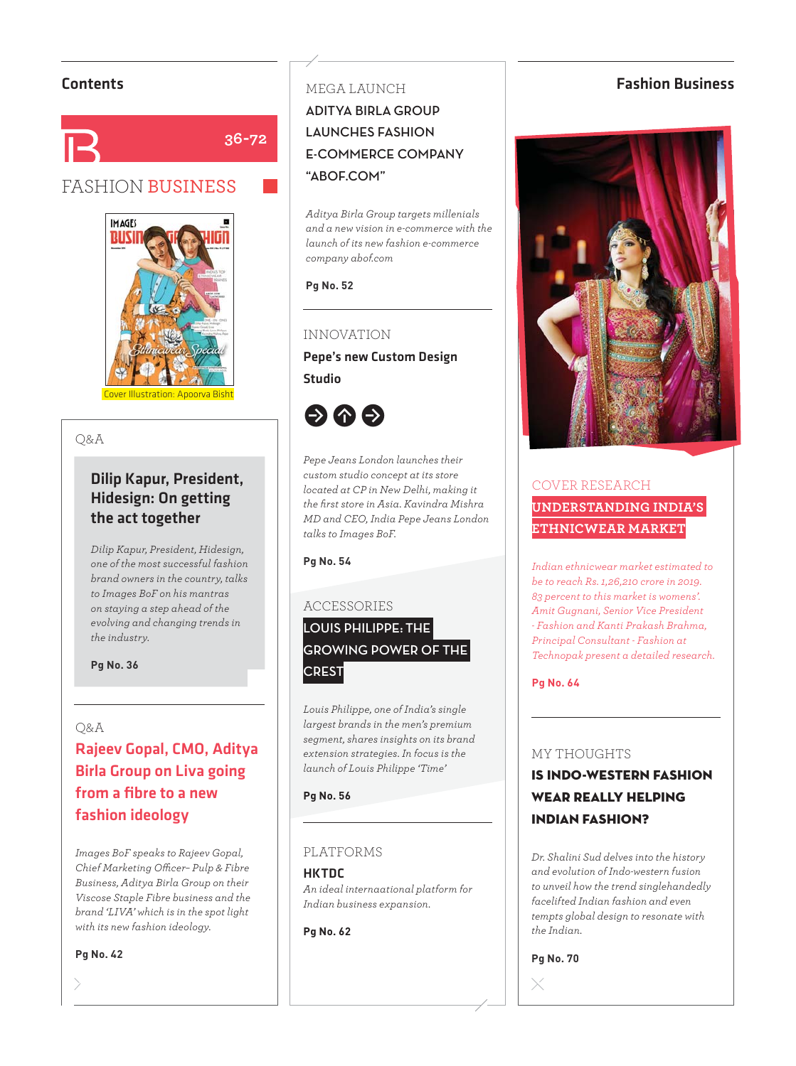

# FASHION BUSINESS



# $\sum_{i=1}^{\infty}$

# Dilip Kapur, President, Hidesign: On getting the act together

*Dilip Kapur, President, Hidesign, one of the most successful fashion brand owners in the country, talks to Images BoF on his mantras on staying a step ahead of the evolving and changing trends in the industry.*

**Pg No. 36**

### $O&A$

# wa<br>Rajeev Gopal, CMO, Aditya Birla Group on Liva going from a fibre to a new fashion ideology

*Images BoF speaks to Rajeev Gopal, Chief Marketing Offi cer– Pulp & Fibre Business, Aditya Birla Group on their Viscose Staple Fibre business and the brand 'LIVA' which is in the spot light with its new fashion ideology.*

**Pg No. 42**

# MEGA LAUNCH **ADITYA BIR GROUP LAUNCHES FASHION E-COMMERCE COMPANY "ABOF.COM"**

*Aditya Birla Group targets millenials and a new vision in e-commerce with the launch of its new fashion e-commerce company abof.com*

#### **Pg No. 52**

### **INNOVATION**

INNOVATION Pepe's new Custom Design Studio



*Pepe Jeans London launches their custom studio concept at its store located at CP in New Delhi, making it the fi rst store in Asia. Kavindra Mishra MD and CEO, India Pepe Jeans London talks to Images BoF.* 

**Pg No. 54**

#### **ACCESSORIES**

# ACCESSORIES **LOUIS PHILIPPE: THE GROWING POWER OF THE CREST**

*Louis Philippe, one of India's single largest brands in the men's premium segment, shares insights on its brand extension strategies. In focus is the launch of Louis Philippe 'Time'*

#### **Pg No. 56**

# ela plateau din partie di partie di partie di partie di partie di partie di partie di partie di partie di par<br>Partie di partie di partie di partie di partie di partie di partie di partie di partie di partie di partie di

#### HKTDC *An ideal internaational platform for Indian business expansion.*

**Pg No. 62**

# **Contents Eashion Business Fashion Business**



# COVER RESEARCH **UNDERSTANDING INDIA'S ETHNICWEAR MARKET**

*Indian ethnicwear market estimated to be to reach Rs. 1,26,210 crore in 2019. 83 percent to this market is womens'. Amit Gugnani, Senior Vice President - Fashion and Kanti Prakash Brahma, Principal Consultant - Fashion at Technopak present a detailed research.*

**Pg No. 64**

#### **MY THOUGHTS**

# MY THOUGHTS IS INDO-WESTERN FASHION WEAR REALLY HELPING INDIAN FASHION?

*Dr. Shalini Sud delves into the history and evolution of Indo-western fusion to unveil how the trend singlehandedly facelifted Indian fashion and even tempts global design to resonate with the Indian.*

**Pg No. 70**

 $\times$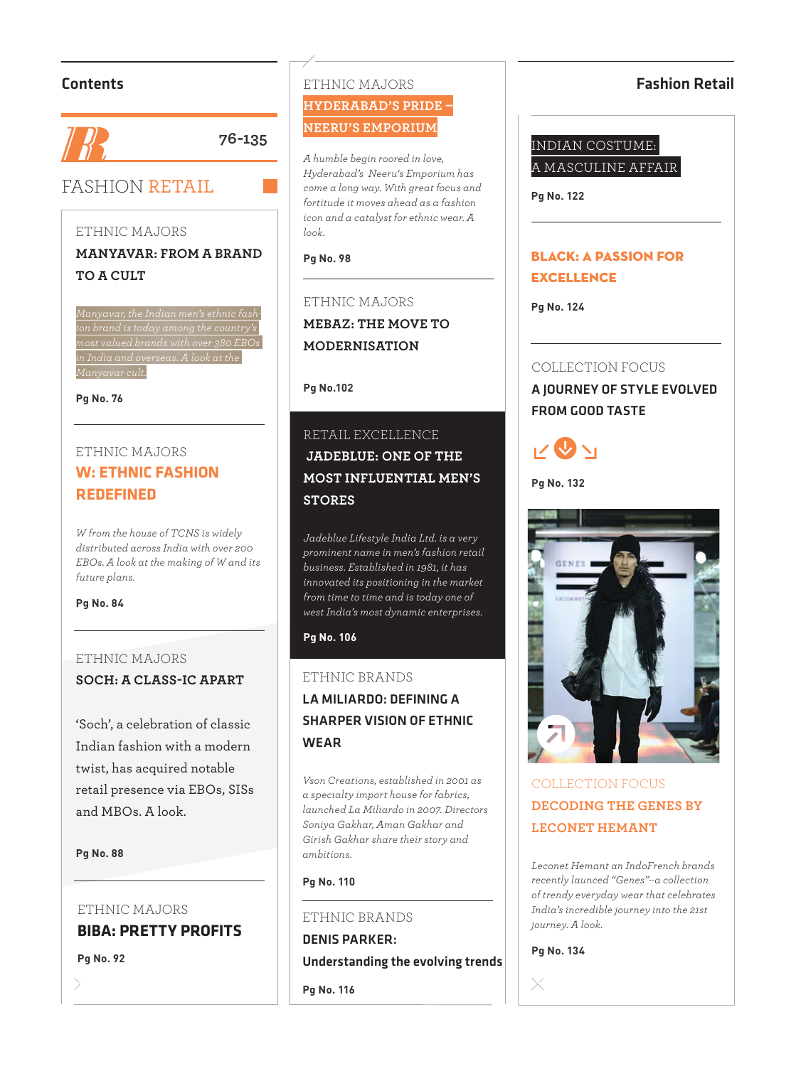# Contents



**76-135**

# FASHION RETAIL

#### ETHNIC MAJORS  $\overline{\phantom{a}}$

**MANYAVAR: FROM A BRAND TO A CULT**

*Manyavar, the Indian men's ethnic fashion brand is today among the country's most valued brands with over 380 EBOs in India and overseas. A look at the Manyavar cult.*

**Pg No. 76**

# ETHNIC MAJORS **W: ETHNIC FASHION REDEFINED**

*W from the house of TCNS is widely distributed across India with over 200 EBOs. A look at the making of W and its future plans.*

#### **Pg No. 84**

#### ETHNIC MAJORS ETHNIC MAJORS

**SOCH: A CLASS-IC APART**

'Soch', a celebration of classic Indian fashion with a modern twist, has acquired notable retail presence via EBOs, SISs and MBOs. A look.

#### **Pg No. 88**

## ETHNIC MAJORS **BIBA: PRETTY PROFITS**

**Pg No. 92**

#### ETHNIC MAJORS ETHNIC MAJORS **HYDERABAD'S PRIDE – NEERU'S EMPORIUM**

*A humble begin roored in love, Hyderabad's Neeru's Emporium has come a long way. With great focus and fortitude it moves ahead as a fashion icon and a catalyst for ethnic wear. A look.*

**Pg No. 98**

#### ETHNIC MAJORS  $\cdots$ **MEBAZ: THE MOVE TO MODERNISATION**

#### **Pg No.102**

# RETAILLENCE  **JADEBLUE: ONE OF THE MOST INFLUENTIAL MEN'S STORES**

*Jadeblue Lifestyle India Ltd. is a very prominent name in men's fashion retail business. Established in 1981, it has innovated its positioning in the market from time to time and is today one of west India's most dynamic enterprises.* 

#### **Pg No. 106**

#### ETHNIC BRANDS

# ETHNIC BRANDS LA MILIARDO: DEFINING A SHARPER VISION OF ETHNIC WEAR

*Vson Creations, established in 2001 as a specialty import house for fabrics, launched La Miliardo in 2007. Directors Soniya Gakhar, Aman Gakhar and Girish Gakhar share their story and ambitions.*

#### **Pg No. 110**

### ETHNIC BRANDS ETHNIC BRANDS DENIS PARKER: Understanding the evolving trends

**Pg No. 116**

## Fashion Retail

# INDIAN COSTUME: A MASCULINE AFFAIR

**Pg No. 122**

# BLACK: A PASSION FOR **EXCELLENCE**

**Pg No. 124**

# COLLECTION FOCUS

 $\overline{C}$  .  $\overline{C}$  .  $\overline{C}$  .  $\overline{C}$  .  $\overline{C}$  .  $\overline{C}$  .  $\overline{C}$  .  $\overline{C}$  .  $\overline{C}$  .  $\overline{C}$  .  $\overline{C}$  .  $\overline{C}$  .  $\overline{C}$  .  $\overline{C}$  .  $\overline{C}$  .  $\overline{C}$  .  $\overline{C}$  .  $\overline{C}$  .  $\overline{C}$  .  $\overline{C}$  . A JOURNEY OF STYLE EVOLVED FROM GOOD TASTE



**Pg No. 132**



# COLLECTION FOCUS **DECODING THE GENES BY LECONET HEMANT**

*Leconet Hemant an IndoFrench brands recently launced "Genes"--a collection of trendy everyday wear that celebrates India's incredible journey into the 21st journey. A look.* 

**Pg No. 134**

 $\times$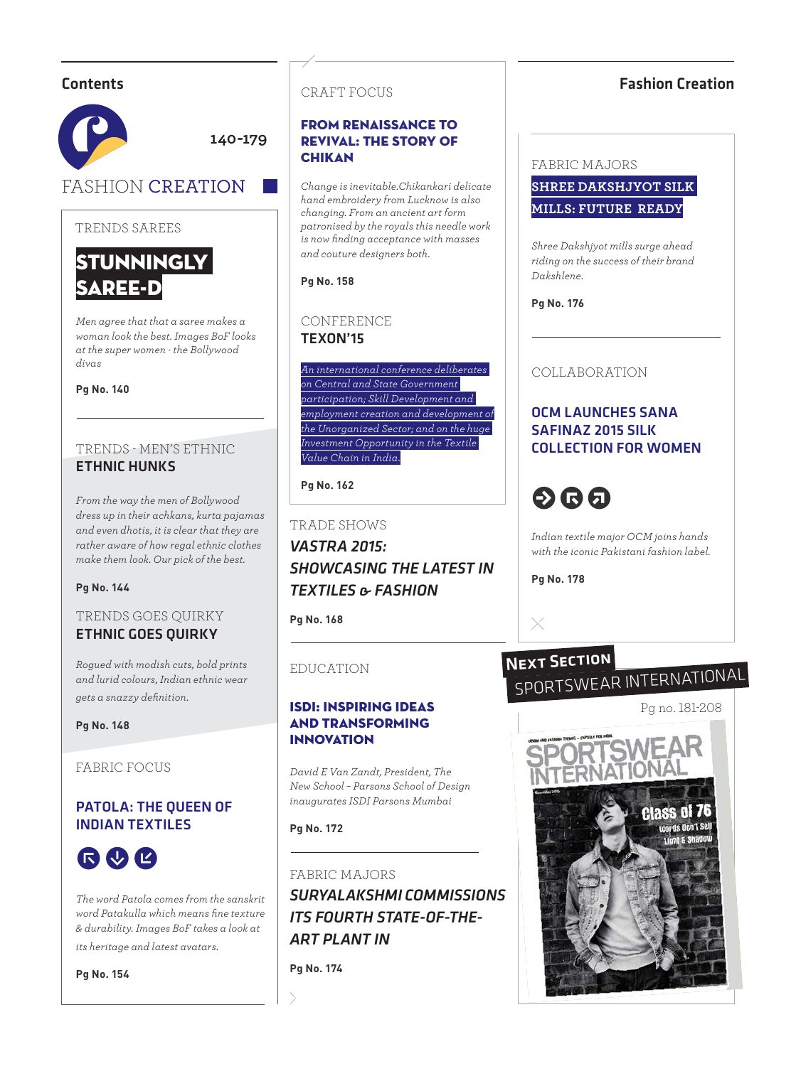# **Contents**



# TRENDS SAREES



*Men agree that that a saree makes a woman look the best. Images BoF looks at the super women - the Bollywood divas*

**Pg No. 140**

# TRENDS - MEN'S ETHNIC ETHNIC HUNKS

*From the way the men of Bollywood dress up in their achkans, kurta pajamas and even dhotis, it is clear that they are rather aware of how regal ethnic clothes make them look. Our pick of the best.*

#### **Pg No. 144**

# **ETHNIC GOES QUIRKY**

*Rogued with modish cuts, bold prints and lurid colours, Indian ethnic wear gets a snazzy definition.* 

#### **Pg No. 148**

FABRIC FOCUS

# PATOLA: THE QUEEN OF INDIAN TEXTILES



*The word Patola comes from the sanskrit word Patakulla which means fi ne texture & durability. Images BoF takes a look at* 

*its heritage and latest avatars.*

**Pg No. 154**

# CRAFT FOCUS

### FROM RENAISSANCE TO REVIVAL: THE STORY OF **CHIKAN**

*Change is inevitable.Chikankari delicate hand embroidery from Lucknow is also changing. From an ancient art form patronised by the royals this needle work is now fi nding acceptance with masses and couture designers both.*

**Pg No. 158**

## CONFERENCE TEXON'15

*An international conference deliberates on Central and State Government participation; Skill Development and employment creation and development of the Unorganized Sector; and on the huge Investment Opportunity in the Textile Value Chain in India.*

**Pg No. 162**

# TRADE SHOWS TRADE SHOWS *VASTRA 2015: SHOWCASING THE LATEST IN TEXTILES & FASHION*

**Pg No. 168**

# **EDUCATION**

## ISDI: INSPIRING IDEAS AND TRANSFORMING INNOVATION

*David E Van Zandt, President, The New School – Parsons School of Design inaugurates ISDI Parsons Mumbai* 

**Pg No. 172**

FABRIC MAJORS *SURYALAKSHMI COMMISSIONS ITS FOURTH STATE-OF-THE-ART PLANT IN*

**Pg No. 174**

# Fashion Creation

#### FABRIC MAJORS

FABRIC MAJORS **SHREE DAKSHJYOT SILK MILLS: FUTURE READY**

*Shree Dakshjyot mills surge ahead riding on the success of their brand Dakshlene.*

**Pg No. 176**



# OCM LAUNCHES SANA SAFINAZ 2015 SILK COLLECTION FOR WOMEN

# **b**®

*Indian textile major OCM joins hands with the iconic Pakistani fashion label.*

**Pg No. 178**

 $\times$ 

# SPORTSWEAR INTERNATIONAL **NEXT SECTION**